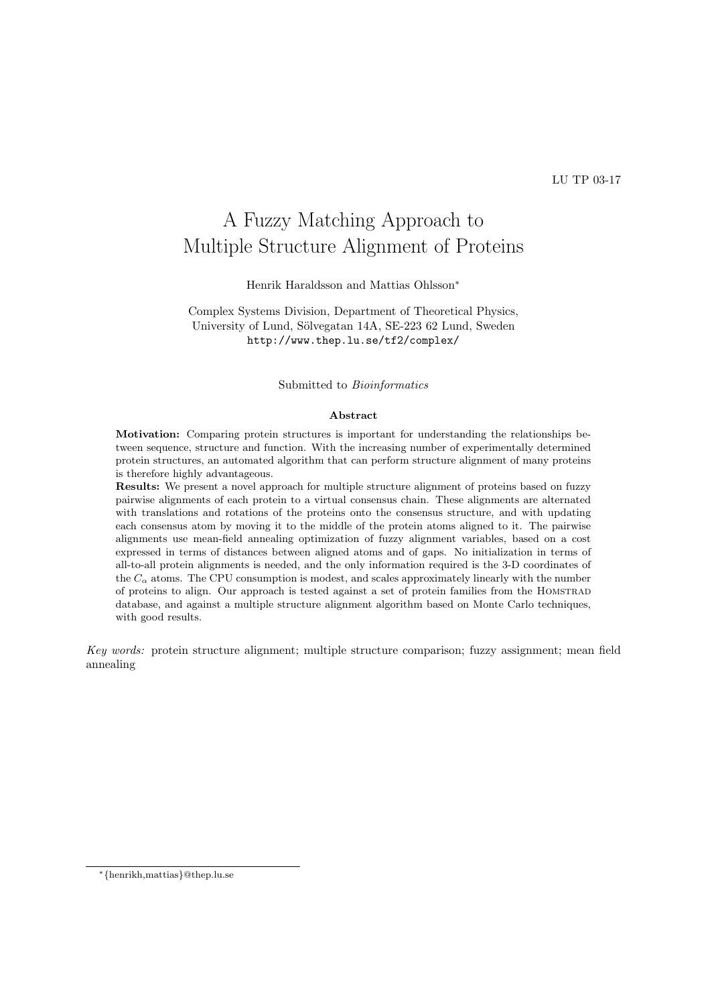# A Fuzzy Matching Approach to Multiple Structure Alignment of Proteins

Henrik Haraldsson and Mattias Ohlsson<sup>∗</sup>

Complex Systems Division, Department of Theoretical Physics, University of Lund, Sölvegatan 14A, SE-223 62 Lund, Sweden http://www.thep.lu.se/tf2/complex/

Submitted to Bioinformatics

#### Abstract

Motivation: Comparing protein structures is important for understanding the relationships between sequence, structure and function. With the increasing number of experimentally determined protein structures, an automated algorithm that can perform structure alignment of many proteins is therefore highly advantageous.

Results: We present a novel approach for multiple structure alignment of proteins based on fuzzy pairwise alignments of each protein to a virtual consensus chain. These alignments are alternated with translations and rotations of the proteins onto the consensus structure, and with updating each consensus atom by moving it to the middle of the protein atoms aligned to it. The pairwise alignments use mean-field annealing optimization of fuzzy alignment variables, based on a cost expressed in terms of distances between aligned atoms and of gaps. No initialization in terms of all-to-all protein alignments is needed, and the only information required is the 3-D coordinates of the  $C_{\alpha}$  atoms. The CPU consumption is modest, and scales approximately linearly with the number of proteins to align. Our approach is tested against a set of protein families from the Homstrad database, and against a multiple structure alignment algorithm based on Monte Carlo techniques, with good results.

Key words: protein structure alignment; multiple structure comparison; fuzzy assignment; mean field annealing

<sup>∗</sup>{henrikh,mattias}@thep.lu.se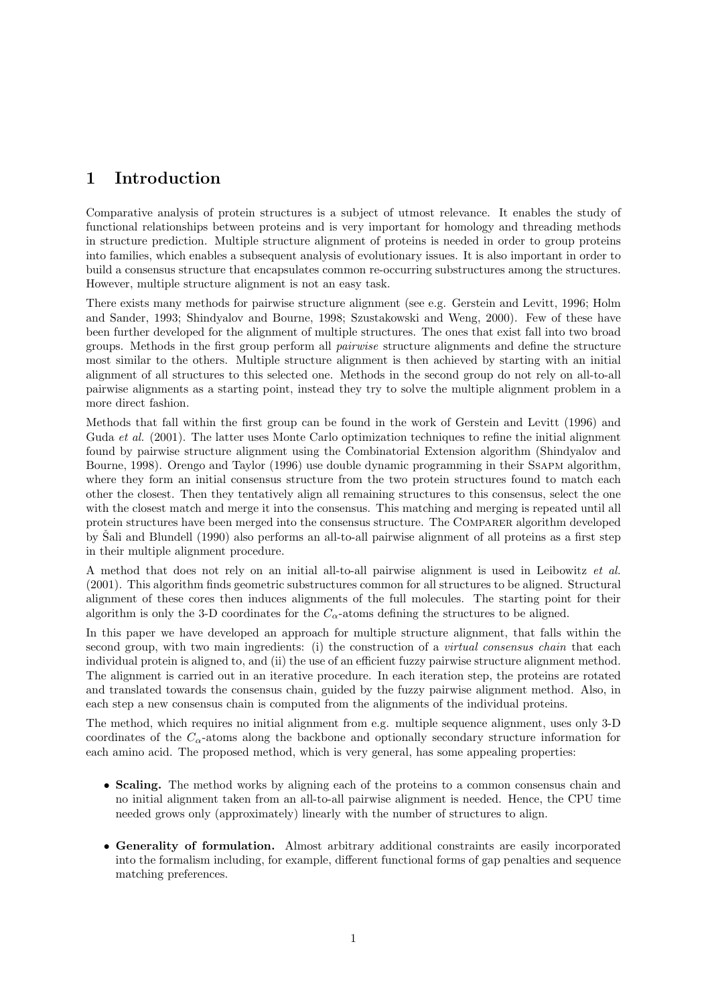# 1 Introduction

Comparative analysis of protein structures is a subject of utmost relevance. It enables the study of functional relationships between proteins and is very important for homology and threading methods in structure prediction. Multiple structure alignment of proteins is needed in order to group proteins into families, which enables a subsequent analysis of evolutionary issues. It is also important in order to build a consensus structure that encapsulates common re-occurring substructures among the structures. However, multiple structure alignment is not an easy task.

There exists many methods for pairwise structure alignment (see e.g. Gerstein and Levitt, 1996; Holm and Sander, 1993; Shindyalov and Bourne, 1998; Szustakowski and Weng, 2000). Few of these have been further developed for the alignment of multiple structures. The ones that exist fall into two broad groups. Methods in the first group perform all pairwise structure alignments and define the structure most similar to the others. Multiple structure alignment is then achieved by starting with an initial alignment of all structures to this selected one. Methods in the second group do not rely on all-to-all pairwise alignments as a starting point, instead they try to solve the multiple alignment problem in a more direct fashion.

Methods that fall within the first group can be found in the work of Gerstein and Levitt (1996) and Guda et al. (2001). The latter uses Monte Carlo optimization techniques to refine the initial alignment found by pairwise structure alignment using the Combinatorial Extension algorithm (Shindyalov and Bourne, 1998). Orengo and Taylor (1996) use double dynamic programming in their Ssapm algorithm, where they form an initial consensus structure from the two protein structures found to match each other the closest. Then they tentatively align all remaining structures to this consensus, select the one with the closest match and merge it into the consensus. This matching and merging is repeated until all protein structures have been merged into the consensus structure. The Comparer algorithm developed by Sali and Blundell (1990) also performs an all-to-all pairwise alignment of all proteins as a first step in their multiple alignment procedure.

A method that does not rely on an initial all-to-all pairwise alignment is used in Leibowitz et al. (2001). This algorithm finds geometric substructures common for all structures to be aligned. Structural alignment of these cores then induces alignments of the full molecules. The starting point for their algorithm is only the 3-D coordinates for the  $C_{\alpha}$ -atoms defining the structures to be aligned.

In this paper we have developed an approach for multiple structure alignment, that falls within the second group, with two main ingredients: (i) the construction of a *virtual consensus chain* that each individual protein is aligned to, and (ii) the use of an efficient fuzzy pairwise structure alignment method. The alignment is carried out in an iterative procedure. In each iteration step, the proteins are rotated and translated towards the consensus chain, guided by the fuzzy pairwise alignment method. Also, in each step a new consensus chain is computed from the alignments of the individual proteins.

The method, which requires no initial alignment from e.g. multiple sequence alignment, uses only 3-D coordinates of the  $C_{\alpha}$ -atoms along the backbone and optionally secondary structure information for each amino acid. The proposed method, which is very general, has some appealing properties:

- Scaling. The method works by aligning each of the proteins to a common consensus chain and no initial alignment taken from an all-to-all pairwise alignment is needed. Hence, the CPU time needed grows only (approximately) linearly with the number of structures to align.
- Generality of formulation. Almost arbitrary additional constraints are easily incorporated into the formalism including, for example, different functional forms of gap penalties and sequence matching preferences.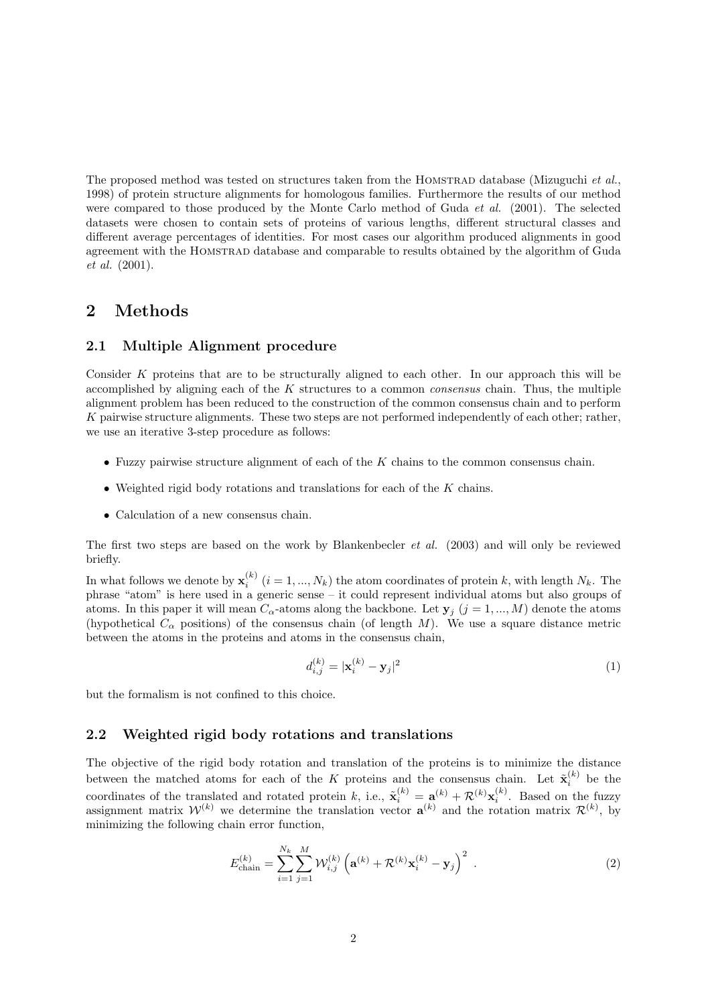The proposed method was tested on structures taken from the HOMSTRAD database (Mizuguchi *et al.*, 1998) of protein structure alignments for homologous families. Furthermore the results of our method were compared to those produced by the Monte Carlo method of Guda *et al.* (2001). The selected datasets were chosen to contain sets of proteins of various lengths, different structural classes and different average percentages of identities. For most cases our algorithm produced alignments in good agreement with the Homstrad database and comparable to results obtained by the algorithm of Guda et al. (2001).

# 2 Methods

#### 2.1 Multiple Alignment procedure

Consider K proteins that are to be structurally aligned to each other. In our approach this will be accomplished by aligning each of the  $K$  structures to a common *consensus* chain. Thus, the multiple alignment problem has been reduced to the construction of the common consensus chain and to perform K pairwise structure alignments. These two steps are not performed independently of each other; rather, we use an iterative 3-step procedure as follows:

- $\bullet$  Fuzzy pairwise structure alignment of each of the K chains to the common consensus chain.
- Weighted rigid body rotations and translations for each of the  $K$  chains.
- Calculation of a new consensus chain.

The first two steps are based on the work by Blankenbecler et al. (2003) and will only be reviewed briefly.

In what follows we denote by  $\mathbf{x}_i^{(k)}$   $(i = 1, ..., N_k)$  the atom coordinates of protein k, with length  $N_k$ . The phrase "atom" is here used in a generic sense – it could represent individual atoms but also groups of atoms. In this paper it will mean  $C_{\alpha}$ -atoms along the backbone. Let  $y_j$   $(j = 1, ..., M)$  denote the atoms (hypothetical  $C_{\alpha}$  positions) of the consensus chain (of length M). We use a square distance metric between the atoms in the proteins and atoms in the consensus chain,

$$
d_{i,j}^{(k)} = |\mathbf{x}_i^{(k)} - \mathbf{y}_j|^2
$$
 (1)

but the formalism is not confined to this choice.

#### 2.2 Weighted rigid body rotations and translations

The objective of the rigid body rotation and translation of the proteins is to minimize the distance between the matched atoms for each of the K proteins and the consensus chain. Let  $\tilde{\mathbf{x}}_i^{(k)}$  be the coordinates of the translated and rotated protein k, i.e.,  $\tilde{\mathbf{x}}_i^{(k)} = \mathbf{a}^{(k)} + \mathcal{R}^{(k)} \mathbf{x}_i^{(k)}$ . Based on the fuzzy assignment matrix  $W^{(k)}$  we determine the translation vector  $\mathbf{a}^{(k)}$  and the rotation matrix  $\mathcal{R}^{(k)}$ , by minimizing the following chain error function,

$$
E_{\text{chain}}^{(k)} = \sum_{i=1}^{N_k} \sum_{j=1}^{M} \mathcal{W}_{i,j}^{(k)} \left( \mathbf{a}^{(k)} + \mathcal{R}^{(k)} \mathbf{x}_i^{(k)} - \mathbf{y}_j \right)^2 \tag{2}
$$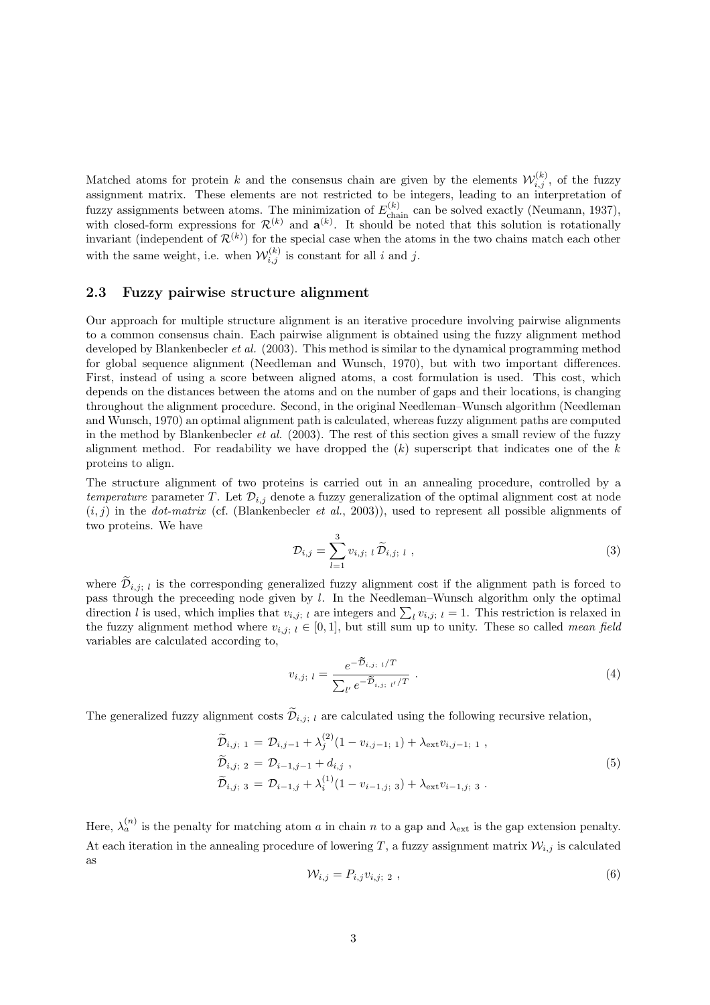Matched atoms for protein k and the consensus chain are given by the elements  $\mathcal{W}_{i,j}^{(k)}$ , of the fuzzy assignment matrix. These elements are not restricted to be integers, leading to an interpretation of fuzzy assignments between atoms. The minimization of  $E_{\text{chain}}^{(k)}$  can be solved exactly (Neumann, 1937), with closed-form expressions for  $\mathcal{R}^{(k)}$  and  $\mathbf{a}^{(k)}$ . It should be noted that this solution is rotationally invariant (independent of  $\mathcal{R}^{(k)}$ ) for the special case when the atoms in the two chains match each other with the same weight, i.e. when  $\mathcal{W}_{i,j}^{(k)}$  is constant for all i and j.

## 2.3 Fuzzy pairwise structure alignment

Our approach for multiple structure alignment is an iterative procedure involving pairwise alignments to a common consensus chain. Each pairwise alignment is obtained using the fuzzy alignment method developed by Blankenbecler *et al.* (2003). This method is similar to the dynamical programming method for global sequence alignment (Needleman and Wunsch, 1970), but with two important differences. First, instead of using a score between aligned atoms, a cost formulation is used. This cost, which depends on the distances between the atoms and on the number of gaps and their locations, is changing throughout the alignment procedure. Second, in the original Needleman–Wunsch algorithm (Needleman and Wunsch, 1970) an optimal alignment path is calculated, whereas fuzzy alignment paths are computed in the method by Blankenbecler et al. (2003). The rest of this section gives a small review of the fuzzy alignment method. For readability we have dropped the  $(k)$  superscript that indicates one of the  $k$ proteins to align.

The structure alignment of two proteins is carried out in an annealing procedure, controlled by a temperature parameter T. Let  $\mathcal{D}_{i,j}$  denote a fuzzy generalization of the optimal alignment cost at node  $(i, j)$  in the *dot-matrix* (cf. (Blankenbecler *et al.*, 2003)), used to represent all possible alignments of two proteins. We have

$$
\mathcal{D}_{i,j} = \sum_{l=1}^{3} v_{i,j; l} \, \widetilde{\mathcal{D}}_{i,j; l} \,, \tag{3}
$$

where  $\tilde{\mathcal{D}}_{i,j;l}$  is the corresponding generalized fuzzy alignment cost if the alignment path is forced to pass through the preceeding node given by l. In the Needleman–Wunsch algorithm only the optimal pass unough the preceding hode given by i. In the Needleman–Wunsch algorithm only the optimal direction is relaxed in direction is relaxed in the fuzzy alignment method where  $v_{i,j; l} \in [0,1]$ , but still sum up to unity. These so called *mean field* variables are calculated according to,

$$
v_{i,j; l} = \frac{e^{-\tilde{\mathcal{D}}_{i,j; l}/T}}{\sum_{l'} e^{-\tilde{\mathcal{D}}_{i,j; l'}/T}}.
$$
\n(4)

The generalized fuzzy alignment costs  $\widetilde{\mathcal{D}}_{i,j; l}$  are calculated using the following recursive relation,

$$
\widetilde{\mathcal{D}}_{i,j; 1} = \mathcal{D}_{i,j-1} + \lambda_j^{(2)} (1 - v_{i,j-1; 1}) + \lambda_{\text{ext}} v_{i,j-1; 1} ,\n\widetilde{\mathcal{D}}_{i,j; 2} = \mathcal{D}_{i-1,j-1} + d_{i,j} ,\n\widetilde{\mathcal{D}}_{i,j; 3} = \mathcal{D}_{i-1,j} + \lambda_i^{(1)} (1 - v_{i-1,j; 3}) + \lambda_{\text{ext}} v_{i-1,j; 3} .
$$
\n(5)

Here,  $\lambda_a^{(n)}$  is the penalty for matching atom a in chain n to a gap and  $\lambda_{\text{ext}}$  is the gap extension penalty. At each iteration in the annealing procedure of lowering T, a fuzzy assignment matrix  $\mathcal{W}_{i,j}$  is calculated as

$$
\mathcal{W}_{i,j} = P_{i,j} v_{i,j; 2} \tag{6}
$$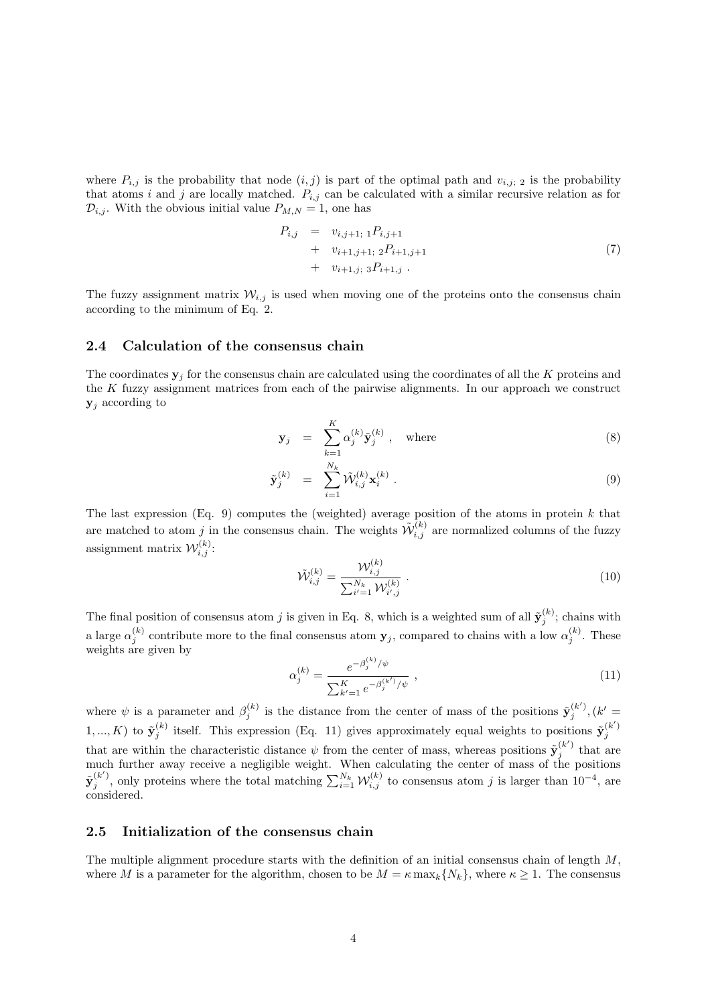where  $P_{i,j}$  is the probability that node  $(i,j)$  is part of the optimal path and  $v_{i,j}$ ; 2 is the probability that atoms i and j are locally matched.  $P_{i,j}$  can be calculated with a similar recursive relation as for  $\mathcal{D}_{i,j}$ . With the obvious initial value  $P_{M,N} = 1$ , one has

$$
P_{i,j} = v_{i,j+1; 1} P_{i,j+1} + v_{i+1,j+1; 2} P_{i+1,j+1} + v_{i+1,j; 3} P_{i+1,j}.
$$
\n(7)

The fuzzy assignment matrix  $W_{i,j}$  is used when moving one of the proteins onto the consensus chain according to the minimum of Eq. 2.

## 2.4 Calculation of the consensus chain

The coordinates  $y_i$  for the consensus chain are calculated using the coordinates of all the K proteins and the  $K$  fuzzy assignment matrices from each of the pairwise alignments. In our approach we construct  $y_i$  according to

$$
\mathbf{y}_j = \sum_{k=1}^K \alpha_j^{(k)} \tilde{\mathbf{y}}_j^{(k)}, \quad \text{where} \tag{8}
$$

$$
\tilde{\mathbf{y}}_j^{(k)} = \sum_{i=1}^{N_k} \tilde{\mathcal{W}}_{i,j}^{(k)} \mathbf{x}_i^{(k)} . \tag{9}
$$

The last expression (Eq. 9) computes the (weighted) average position of the atoms in protein  $k$  that are matched to atom j in the consensus chain. The weights  $\tilde{\mathcal{W}}_{i,j}^{(k)}$  are normalized columns of the fuzzy assignment matrix  $\mathcal{W}_{i,j}^{(k)}$ :

$$
\tilde{\mathcal{W}}_{i,j}^{(k)} = \frac{\mathcal{W}_{i,j}^{(k)}}{\sum_{i'=1}^{N_k} \mathcal{W}_{i',j}^{(k)}} \ . \tag{10}
$$

The final position of consensus atom j is given in Eq. 8, which is a weighted sum of all  $\tilde{\mathbf{y}}_j^{(k)}$ ; chains with a large  $\alpha_j^{(k)}$  contribute more to the final consensus atom  $\mathbf{y}_j$ , compared to chains with a low  $\alpha_j^{(k)}$ . These weights are given by

$$
\alpha_j^{(k)} = \frac{e^{-\beta_j^{(k)}/\psi}}{\sum_{k'=1}^K e^{-\beta_j^{(k')}/\psi}} , \qquad (11)
$$

where  $\psi$  is a parameter and  $\beta_j^{(k)}$  is the distance from the center of mass of the positions  $\tilde{\mathbf{y}}_j^{(k')}, (k' =$ 1, ..., K) to  $\tilde{\mathbf{y}}_j^{(k)}$  itself. This expression (Eq. 11) gives approximately equal weights to positions  $\tilde{\mathbf{y}}_j^{(k')}$ that are within the characteristic distance  $\psi$  from the center of mass, whereas positions  $\tilde{\mathbf{y}}_j^{(k')}$  that are much further away receive a negligible weight. When calculating the center of mass of the positions  $\tilde{\mathbf{y}}_j^{(k')}$ , only proteins where the total matching  $\sum_{i=1}^{N_k} \mathcal{W}_{i,j}^{(k)}$  to consensus atom j is larger than  $10^{-4}$ , are considered.

#### 2.5 Initialization of the consensus chain

The multiple alignment procedure starts with the definition of an initial consensus chain of length  $M$ , where M is a parameter for the algorithm, chosen to be  $M = \kappa \max_k \{N_k\}$ , where  $\kappa \geq 1$ . The consensus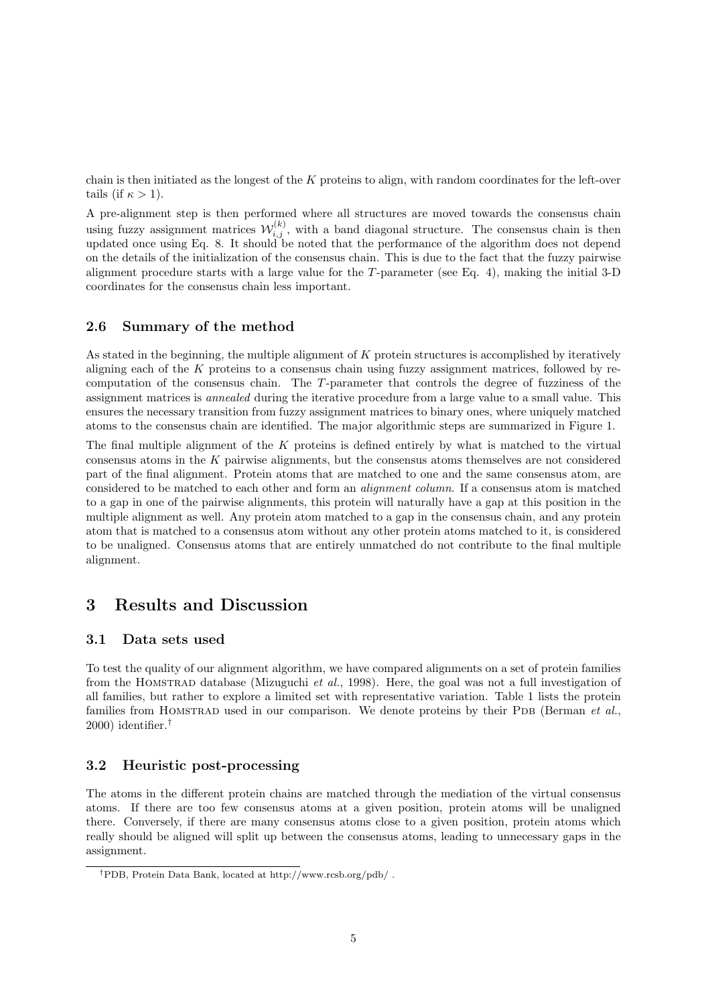chain is then initiated as the longest of the K proteins to align, with random coordinates for the left-over tails (if  $\kappa > 1$ ).

A pre-alignment step is then performed where all structures are moved towards the consensus chain using fuzzy assignment matrices  $\mathcal{W}_{i,j}^{(k)}$ , with a band diagonal structure. The consensus chain is then updated once using Eq. 8. It should be noted that the performance of the algorithm does not depend on the details of the initialization of the consensus chain. This is due to the fact that the fuzzy pairwise alignment procedure starts with a large value for the T-parameter (see Eq. 4), making the initial 3-D coordinates for the consensus chain less important.

## 2.6 Summary of the method

As stated in the beginning, the multiple alignment of K protein structures is accomplished by iteratively aligning each of the K proteins to a consensus chain using fuzzy assignment matrices, followed by recomputation of the consensus chain. The T-parameter that controls the degree of fuzziness of the assignment matrices is annealed during the iterative procedure from a large value to a small value. This ensures the necessary transition from fuzzy assignment matrices to binary ones, where uniquely matched atoms to the consensus chain are identified. The major algorithmic steps are summarized in Figure 1.

The final multiple alignment of the K proteins is defined entirely by what is matched to the virtual consensus atoms in the  $K$  pairwise alignments, but the consensus atoms themselves are not considered part of the final alignment. Protein atoms that are matched to one and the same consensus atom, are considered to be matched to each other and form an alignment column. If a consensus atom is matched to a gap in one of the pairwise alignments, this protein will naturally have a gap at this position in the multiple alignment as well. Any protein atom matched to a gap in the consensus chain, and any protein atom that is matched to a consensus atom without any other protein atoms matched to it, is considered to be unaligned. Consensus atoms that are entirely unmatched do not contribute to the final multiple alignment.

## 3 Results and Discussion

#### 3.1 Data sets used

To test the quality of our alignment algorithm, we have compared alignments on a set of protein families from the Homstrad database (Mizuguchi et al., 1998). Here, the goal was not a full investigation of all families, but rather to explore a limited set with representative variation. Table 1 lists the protein families from HOMSTRAD used in our comparison. We denote proteins by their PDB (Berman et  $al$ ., 2000) identifier.†

## 3.2 Heuristic post-processing

The atoms in the different protein chains are matched through the mediation of the virtual consensus atoms. If there are too few consensus atoms at a given position, protein atoms will be unaligned there. Conversely, if there are many consensus atoms close to a given position, protein atoms which really should be aligned will split up between the consensus atoms, leading to unnecessary gaps in the assignment.

<sup>†</sup>PDB, Protein Data Bank, located at http://www.rcsb.org/pdb/ .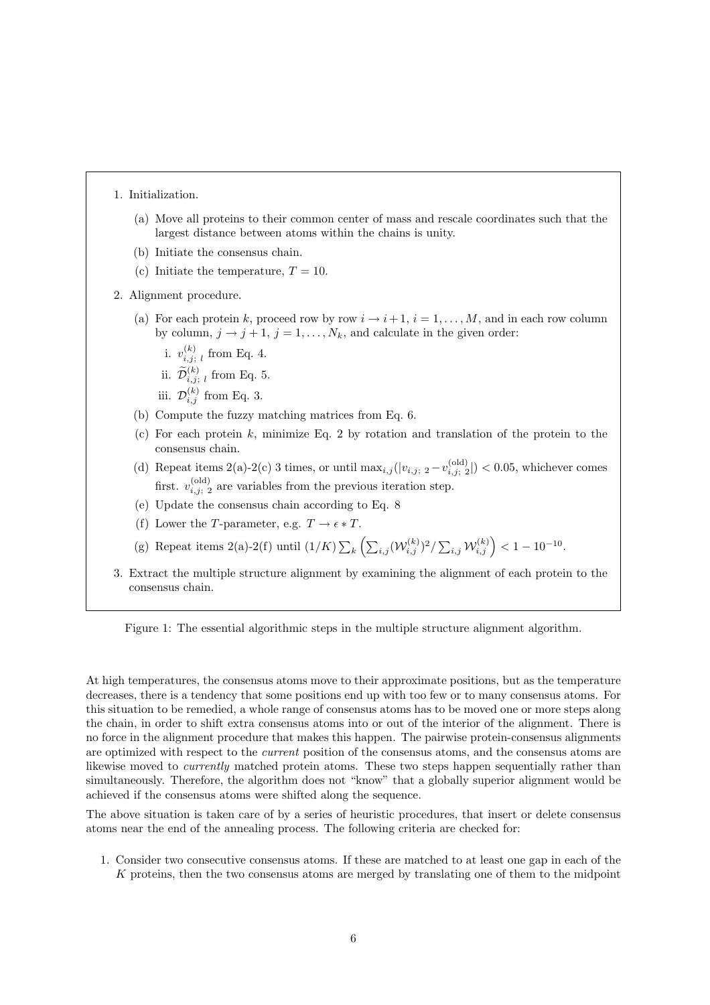1. Initialization.

- (a) Move all proteins to their common center of mass and rescale coordinates such that the largest distance between atoms within the chains is unity.
- (b) Initiate the consensus chain.
- (c) Initiate the temperature,  $T = 10$ .
- 2. Alignment procedure.
	- (a) For each protein k, proceed row by row  $i \rightarrow i+1$ ,  $i = 1, ..., M$ , and in each row column by column,  $j \rightarrow j+1$ ,  $j = 1, \ldots, N_k$ , and calculate in the given order:
		- i.  $v_i^{(k)}$  $\sum_{i,j;\ l}^{(\kappa)}$  from Eq. 4.
		- ii.  $\widetilde{\mathcal{D}}_{i,j; l}^{(k)}$  from Eq. 5.
		- iii.  $\mathcal{D}_{i,j}^{(k)}$  from Eq. 3.
	- (b) Compute the fuzzy matching matrices from Eq. 6.
	- (c) For each protein  $k$ , minimize Eq. 2 by rotation and translation of the protein to the consensus chain.
	- (d) Repeat items 2(a)-2(c) 3 times, or until  $\max_{i,j}(|v_{i,j}; 2 v_{i,j; 2}^{\text{(old)}}| < 0.05$ , whichever comes first.  $v_{i,j;\,2}^{(\text{old})}$  are variables from the previous iteration step.
	- (e) Update the consensus chain according to Eq. 8
	- (f) Lower the T-parameter, e.g.  $T \to \epsilon * T$ .
	- (g) Repeat items 2(a)-2(f) until  $(1/K)\sum$ k .<br>∕⊷  $\sum_{i,j} (\mathcal{W}_{i,j}^{(k)})^2 / \sum_{i,j} \mathcal{W}_{i,j}^{(k)} \Big) < 1 - 10^{-10}.$
- 3. Extract the multiple structure alignment by examining the alignment of each protein to the consensus chain.

Figure 1: The essential algorithmic steps in the multiple structure alignment algorithm.

At high temperatures, the consensus atoms move to their approximate positions, but as the temperature decreases, there is a tendency that some positions end up with too few or to many consensus atoms. For this situation to be remedied, a whole range of consensus atoms has to be moved one or more steps along the chain, in order to shift extra consensus atoms into or out of the interior of the alignment. There is no force in the alignment procedure that makes this happen. The pairwise protein-consensus alignments are optimized with respect to the current position of the consensus atoms, and the consensus atoms are likewise moved to currently matched protein atoms. These two steps happen sequentially rather than simultaneously. Therefore, the algorithm does not "know" that a globally superior alignment would be achieved if the consensus atoms were shifted along the sequence.

The above situation is taken care of by a series of heuristic procedures, that insert or delete consensus atoms near the end of the annealing process. The following criteria are checked for:

1. Consider two consecutive consensus atoms. If these are matched to at least one gap in each of the K proteins, then the two consensus atoms are merged by translating one of them to the midpoint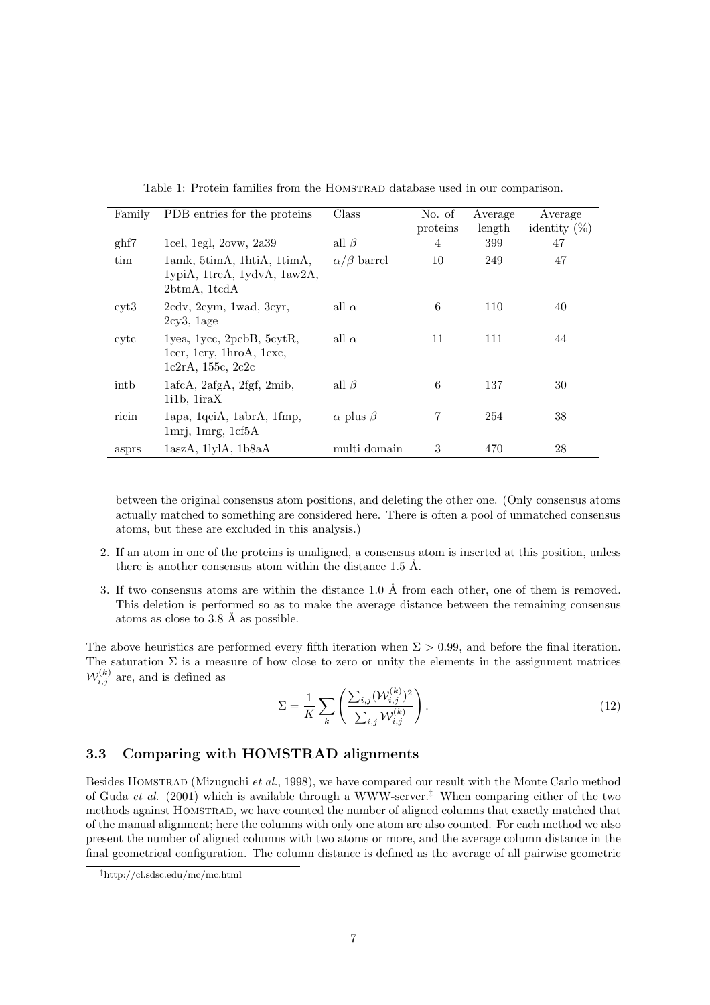| Family        | PDB entries for the proteins                                                       | Class                 | No. of   | Average | Average         |
|---------------|------------------------------------------------------------------------------------|-----------------------|----------|---------|-----------------|
|               |                                                                                    |                       | proteins | length  | identity $(\%)$ |
| ghf7          | 1cel, $1$ egl, $2$ ovw, $2a39$                                                     | all $\beta$           | 4        | 399     | 47              |
| tim           | lamk, 5timA, 1htiA, 1timA,<br>lypiA, 1treA, 1ydvA, 1aw2A,<br>2btmA, 1tcdA          | $\alpha/\beta$ barrel | 10       | 249     | 47              |
| $\text{cyt}3$ | 2cdv, 2cym, 1wad, 3cyr,<br>$2cy3$ , $1age$                                         | all $\alpha$          | 6        | 110     | 40              |
| cytc          | lyea, 1ycc, 2pcbB, 5cytR,<br>1ccr, 1cry, 1hroA, 1cxc,<br>1c2rA, 155c, 2c2c         | all $\alpha$          | 11       | 111     | 44              |
| inth          | $1afcA$ , $2afgA$ , $2fgf$ , $2mib$ ,<br>$1i1b$ , $1iraX$                          | all $\beta$           | 6        | 137     | 30              |
| ricin         | lapa, 1qciA, 1abrA, 1fmp,<br>$1\text{mrj}$ , $1\text{mrg}$ , $1\text{cf}5\text{A}$ | $\alpha$ plus $\beta$ | 7        | 254     | 38              |
| asprs         | $1$ asz $A$ , 1lyl $A$ , 1b $8$ a $A$                                              | multi domain          | 3        | 470     | 28              |

Table 1: Protein families from the HOMSTRAD database used in our comparison.

between the original consensus atom positions, and deleting the other one. (Only consensus atoms actually matched to something are considered here. There is often a pool of unmatched consensus atoms, but these are excluded in this analysis.)

- 2. If an atom in one of the proteins is unaligned, a consensus atom is inserted at this position, unless there is another consensus atom within the distance  $1.5 \text{ Å}.$
- 3. If two consensus atoms are within the distance 1.0  $\AA$  from each other, one of them is removed. This deletion is performed so as to make the average distance between the remaining consensus atoms as close to  $3.8 \text{ Å}$  as possible.

The above heuristics are performed every fifth iteration when  $\Sigma > 0.99$ , and before the final iteration. The saturation  $\Sigma$  is a measure of how close to zero or unity the elements in the assignment matrices  $\mathcal{W}_{i,j}^{(k)}$  are, and is defined as

$$
\Sigma = \frac{1}{K} \sum_{k} \left( \frac{\sum_{i,j} (\mathcal{W}_{i,j}^{(k)})^2}{\sum_{i,j} \mathcal{W}_{i,j}^{(k)}} \right).
$$
\n(12)

## 3.3 Comparing with HOMSTRAD alignments

Besides HOMSTRAD (Mizuguchi et al., 1998), we have compared our result with the Monte Carlo method of Guda et al. (2001) which is available through a WWW-server.<sup>‡</sup> When comparing either of the two methods against Homstrad, we have counted the number of aligned columns that exactly matched that of the manual alignment; here the columns with only one atom are also counted. For each method we also present the number of aligned columns with two atoms or more, and the average column distance in the final geometrical configuration. The column distance is defined as the average of all pairwise geometric

<sup>‡</sup>http://cl.sdsc.edu/mc/mc.html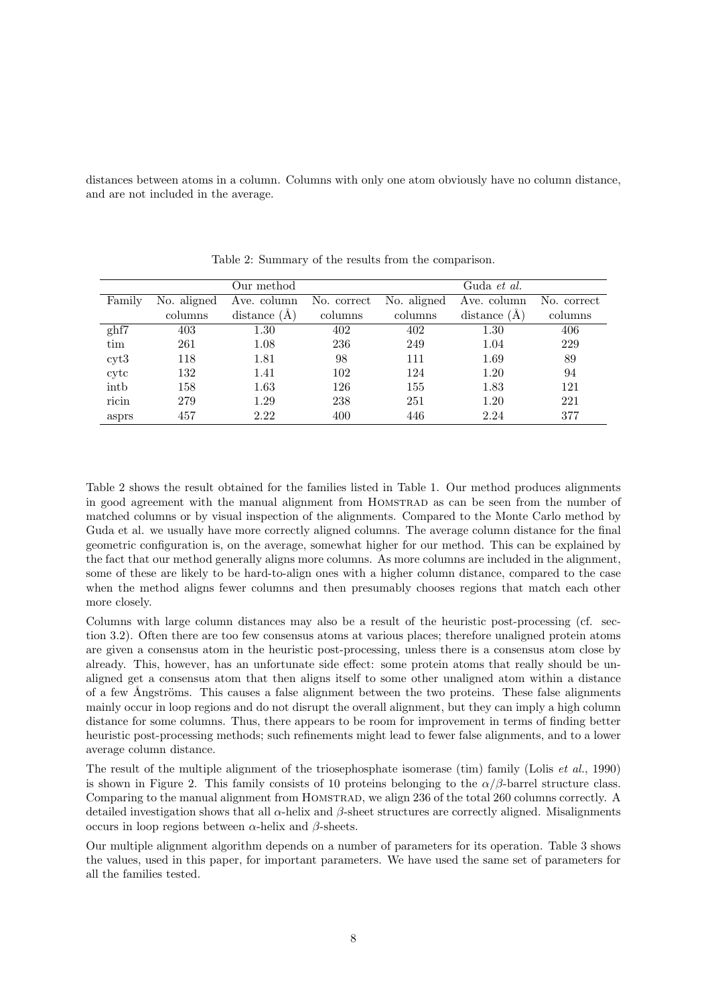distances between atoms in a column. Columns with only one atom obviously have no column distance, and are not included in the average.

|        |             | Our method        |             |             | Guda et al.    |             |
|--------|-------------|-------------------|-------------|-------------|----------------|-------------|
| Family | No. aligned | Ave. column       | No. correct | No. aligned | Ave. column    | No. correct |
|        | columns     | (A)<br>distance ( | columns     | columns     | distance $(A)$ | columns     |
| ghf7   | 403         | 1.30              | 402         | 402         | 1.30           | 406         |
| tim    | 261         | 1.08              | 236         | 249         | 1.04           | 229         |
| cyt3   | 118         | 1.81              | 98          | 111         | 1.69           | 89          |
| cytc   | 132         | 1.41              | 102         | 124         | 1.20           | 94          |
| intb   | 158         | 1.63              | 126         | 155         | 1.83           | 121         |
| ricin  | 279         | 1.29              | 238         | 251         | 1.20           | 221         |
| asprs  | 457         | 2.22              | 400         | 446         | 2.24           | 377         |

Table 2: Summary of the results from the comparison.

Table 2 shows the result obtained for the families listed in Table 1. Our method produces alignments in good agreement with the manual alignment from Homstrad as can be seen from the number of matched columns or by visual inspection of the alignments. Compared to the Monte Carlo method by Guda et al. we usually have more correctly aligned columns. The average column distance for the final geometric configuration is, on the average, somewhat higher for our method. This can be explained by the fact that our method generally aligns more columns. As more columns are included in the alignment, some of these are likely to be hard-to-align ones with a higher column distance, compared to the case when the method aligns fewer columns and then presumably chooses regions that match each other more closely.

Columns with large column distances may also be a result of the heuristic post-processing (cf. section 3.2). Often there are too few consensus atoms at various places; therefore unaligned protein atoms are given a consensus atom in the heuristic post-processing, unless there is a consensus atom close by already. This, however, has an unfortunate side effect: some protein atoms that really should be unaligned get a consensus atom that then aligns itself to some other unaligned atom within a distance of a few Ångströms. This causes a false alignment between the two proteins. These false alignments mainly occur in loop regions and do not disrupt the overall alignment, but they can imply a high column distance for some columns. Thus, there appears to be room for improvement in terms of finding better heuristic post-processing methods; such refinements might lead to fewer false alignments, and to a lower average column distance.

The result of the multiple alignment of the triosephosphate isomerase (tim) family (Lolis et al., 1990) is shown in Figure 2. This family consists of 10 proteins belonging to the  $\alpha/\beta$ -barrel structure class. Comparing to the manual alignment from Homstrad, we align 236 of the total 260 columns correctly. A detailed investigation shows that all  $\alpha$ -helix and  $\beta$ -sheet structures are correctly aligned. Misalignments occurs in loop regions between α-helix and β-sheets.

Our multiple alignment algorithm depends on a number of parameters for its operation. Table 3 shows the values, used in this paper, for important parameters. We have used the same set of parameters for all the families tested.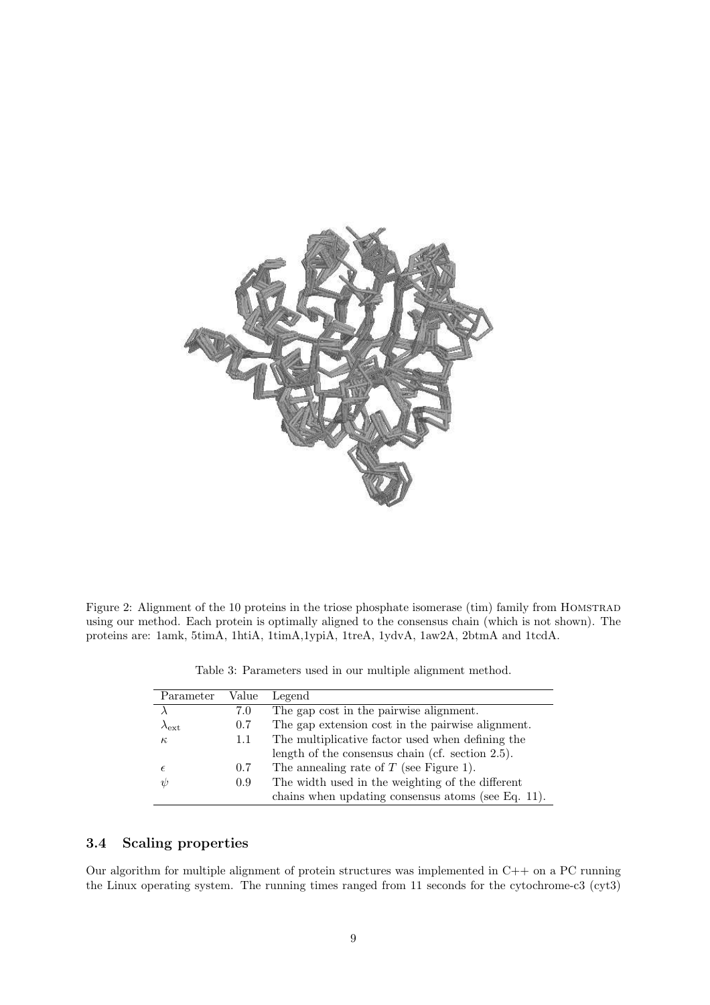

Figure 2: Alignment of the 10 proteins in the triose phosphate isomerase (tim) family from HOMSTRAD using our method. Each protein is optimally aligned to the consensus chain (which is not shown). The proteins are: 1amk, 5timA, 1htiA, 1timA,1ypiA, 1treA, 1ydvA, 1aw2A, 2btmA and 1tcdA.

| Parameter           | Value | Legend                                              |
|---------------------|-------|-----------------------------------------------------|
|                     | 7.0   | The gap cost in the pairwise alignment.             |
| $\lambda_{\rm ext}$ | 0.7   | The gap extension cost in the pairwise alignment.   |
| $\kappa$            | 1.1   | The multiplicative factor used when defining the    |
|                     |       | length of the consensus chain (cf. section $2.5$ ). |
| $\epsilon$          | 0.7   | The annealing rate of $T$ (see Figure 1).           |
| $\psi$              | 0.9   | The width used in the weighting of the different    |
|                     |       | chains when updating consensus atoms (see Eq. 11).  |

Table 3: Parameters used in our multiple alignment method.

## 3.4 Scaling properties

Our algorithm for multiple alignment of protein structures was implemented in C++ on a PC running the Linux operating system. The running times ranged from 11 seconds for the cytochrome-c3 (cyt3)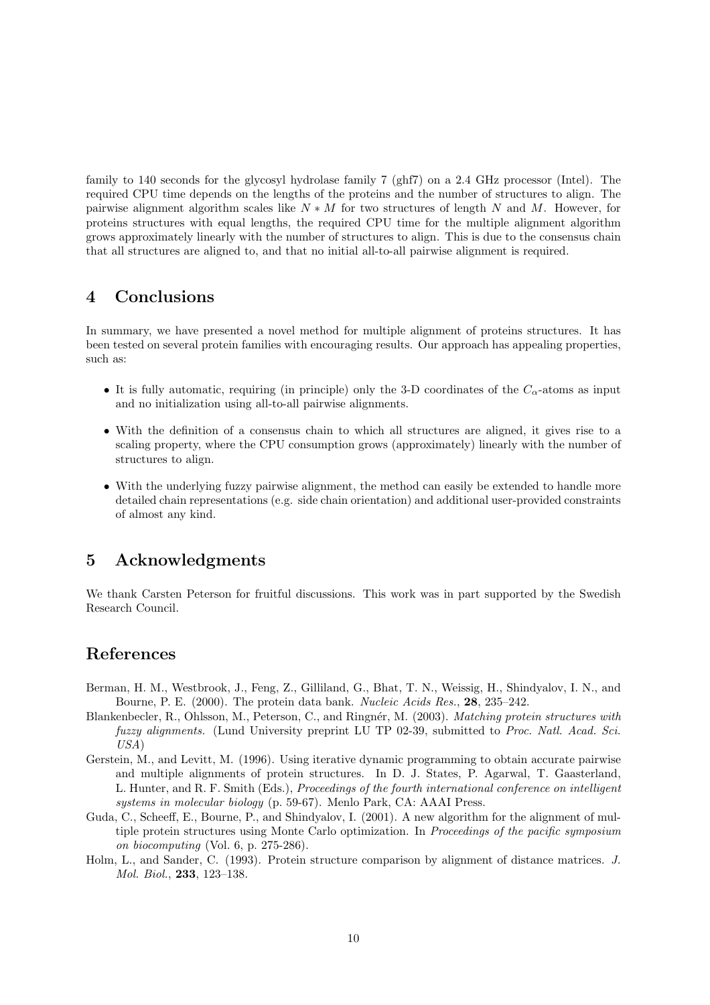family to 140 seconds for the glycosyl hydrolase family 7 (ghf7) on a 2.4 GHz processor (Intel). The required CPU time depends on the lengths of the proteins and the number of structures to align. The pairwise alignment algorithm scales like  $N * M$  for two structures of length N and M. However, for proteins structures with equal lengths, the required CPU time for the multiple alignment algorithm grows approximately linearly with the number of structures to align. This is due to the consensus chain that all structures are aligned to, and that no initial all-to-all pairwise alignment is required.

# 4 Conclusions

In summary, we have presented a novel method for multiple alignment of proteins structures. It has been tested on several protein families with encouraging results. Our approach has appealing properties, such as:

- It is fully automatic, requiring (in principle) only the 3-D coordinates of the  $C_{\alpha}$ -atoms as input and no initialization using all-to-all pairwise alignments.
- With the definition of a consensus chain to which all structures are aligned, it gives rise to a scaling property, where the CPU consumption grows (approximately) linearly with the number of structures to align.
- With the underlying fuzzy pairwise alignment, the method can easily be extended to handle more detailed chain representations (e.g. side chain orientation) and additional user-provided constraints of almost any kind.

# 5 Acknowledgments

We thank Carsten Peterson for fruitful discussions. This work was in part supported by the Swedish Research Council.

## References

- Berman, H. M., Westbrook, J., Feng, Z., Gilliland, G., Bhat, T. N., Weissig, H., Shindyalov, I. N., and Bourne, P. E. (2000). The protein data bank. Nucleic Acids Res., 28, 235–242.
- Blankenbecler, R., Ohlsson, M., Peterson, C., and Ringnér, M. (2003). Matching protein structures with fuzzy alignments. (Lund University preprint LU TP 02-39, submitted to Proc. Natl. Acad. Sci. USA)
- Gerstein, M., and Levitt, M. (1996). Using iterative dynamic programming to obtain accurate pairwise and multiple alignments of protein structures. In D. J. States, P. Agarwal, T. Gaasterland, L. Hunter, and R. F. Smith (Eds.), Proceedings of the fourth international conference on intelligent systems in molecular biology (p. 59-67). Menlo Park, CA: AAAI Press.
- Guda, C., Scheeff, E., Bourne, P., and Shindyalov, I. (2001). A new algorithm for the alignment of multiple protein structures using Monte Carlo optimization. In Proceedings of the pacific symposium on biocomputing (Vol. 6, p. 275-286).
- Holm, L., and Sander, C. (1993). Protein structure comparison by alignment of distance matrices. J. Mol. Biol., 233, 123–138.